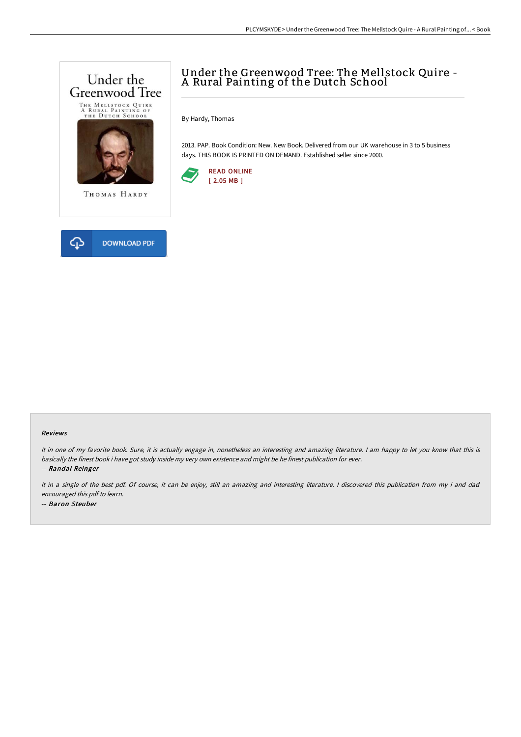

# Under the Greenwood Tree: The Mellstock Quire - A Rural Painting of the Dutch School

By Hardy, Thomas

2013. PAP. Book Condition: New. New Book. Delivered from our UK warehouse in 3 to 5 business days. THIS BOOK IS PRINTED ON DEMAND. Established seller since 2000.



#### Reviews

It in one of my favorite book. Sure, it is actually engage in, nonetheless an interesting and amazing literature. <sup>I</sup> am happy to let you know that this is basically the finest book i have got study inside my very own existence and might be he finest publication for ever.

-- Randal Reinger

It in <sup>a</sup> single of the best pdf. Of course, it can be enjoy, still an amazing and interesting literature. <sup>I</sup> discovered this publication from my i and dad encouraged this pdf to learn. -- Baron Steuber